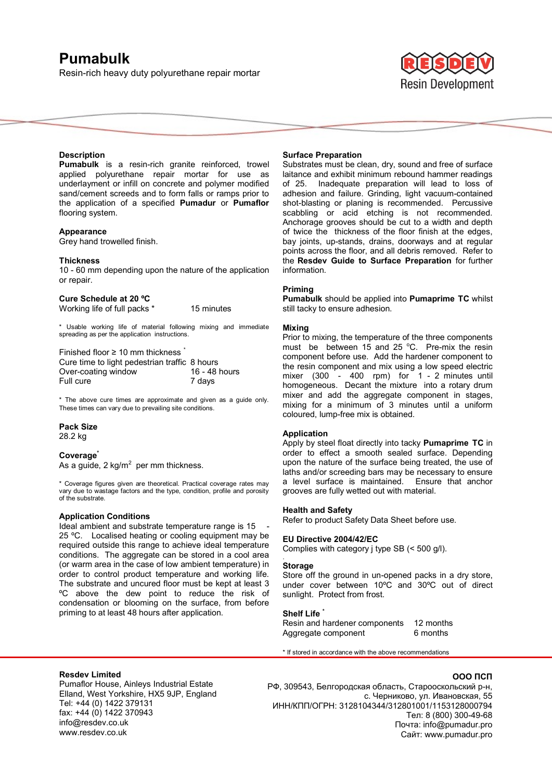# **Pumabulk**

Resin-rich heavy duty polyurethane repair mortar



## **Description**

**Pumabulk** is a resin-rich granite reinforced, trowel applied polyurethane repair mortar for use as underlayment or infill on concrete and polymer modified sand/cement screeds and to form falls or ramps prior to the application of a specified **Pumadur** or **Pumaflor** flooring system.

#### **Appearance**

Grey hand trowelled finish.

#### **Thickness**

10 - 60 mm depending upon the nature of the application or repair.

## **Cure Schedule at 20 ºC**

Working life of full packs \* 15 minutes

\* Usable working life of material following mixing and immediate spreading as per the application instructions.

Finished floor ≥ 10 mm thickness \* Cure time to light pedestrian traffic 8 hours<br>Over-coating window 16 - 48 hours Over-coating window<br>Full cure 7 days

\* The above cure times are approximate and given as a guide only. These times can vary due to prevailing site conditions.

## **Pack Size**  28.2 kg

#### **Coverage\***

As a guide, 2 kg/m<sup>2</sup> per mm thickness.

\* Coverage figures given are theoretical. Practical coverage rates may vary due to wastage factors and the type, condition, profile and porosity of the substrate.

## **Application Conditions**

Ideal ambient and substrate temperature range is 15 25 ºC. Localised heating or cooling equipment may be required outside this range to achieve ideal temperature conditions. The aggregate can be stored in a cool area (or warm area in the case of low ambient temperature) in order to control product temperature and working life. The substrate and uncured floor must be kept at least 3 ºC above the dew point to reduce the risk of condensation or blooming on the surface, from before priming to at least 48 hours after application.

#### **Surface Preparation**

Substrates must be clean, dry, sound and free of surface laitance and exhibit minimum rebound hammer readings of 25. Inadequate preparation will lead to loss of adhesion and failure. Grinding, light vacuum-contained shot-blasting or planing is recommended. Percussive scabbling or acid etching is not recommended. Anchorage grooves should be cut to a width and depth of twice the thickness of the floor finish at the edges, bay joints, up-stands, drains, doorways and at regular points across the floor, and all debris removed. Refer to the **Resdev Guide to Surface Preparation** for further information.

# **Priming**

**Pumabulk** should be applied into **Pumaprime TC** whilst still tacky to ensure adhesion.

## **Mixing**

Prior to mixing, the temperature of the three components must be between 15 and 25  $^{\circ}$ C. Pre-mix the resin component before use. Add the hardener component to the resin component and mix using a low speed electric mixer (300 - 400 rpm) for 1 - 2 minutes until homogeneous. Decant the mixture into a rotary drum mixer and add the aggregate component in stages, mixing for a minimum of 3 minutes until a uniform coloured, lump-free mix is obtained.

#### **Application**

Apply by steel float directly into tacky **Pumaprime TC** in order to effect a smooth sealed surface. Depending upon the nature of the surface being treated, the use of laths and/or screeding bars may be necessary to ensure a level surface is maintained. Ensure that anchor grooves are fully wetted out with material.

#### **Health and Safety**

Refer to product Safety Data Sheet before use.

#### **EU Directive 2004/42/EC**

Complies with category j type SB (< 500 g/l).

#### **Storage**

.

Store off the ground in un-opened packs in a dry store, under cover between 10ºC and 30ºC out of direct sunlight. Protect from frost.

# **Shelf Life \***

Resin and hardener components 12 months Aggregate component 6 months

\* If stored in accordance with the above recommendations

#### **Resdev Limited**

Pumaflor House, Ainleys Industrial Estate Elland, West Yorkshire, HX5 9JP, England Tel: +44 (0) 1422 379131 fax: +44 (0) 1422 370943 info@resdev.co.uk www.resdev.co.uk

#### **ООО ПСП**

РФ, 309543, Белгородская область, Старооскольский р-н, с. Черниково, ул. Ивановская, 55 ИНН/КПП/ОГРН: 3128104344/312801001/1153128000794 Тел: 8 (800) 300-49-68 Почта: info@pumadur.pro Сайт: www.pumadur.pro